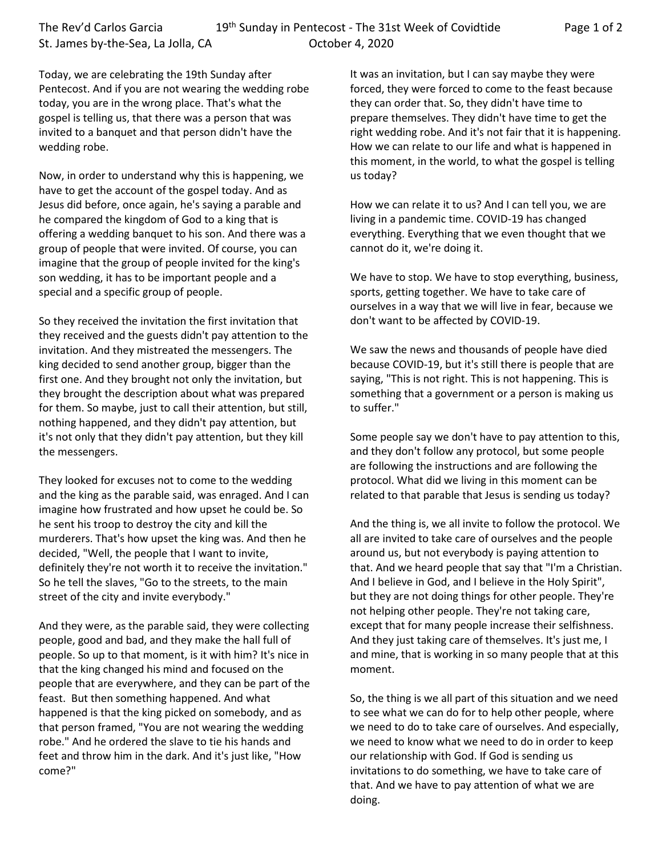The Rev'd Carlos Garcia 19<sup>th</sup> Sunday in Pentecost - The 31st Week of Covidtide Page 1 of 2 St. James by-the-Sea, La Jolla, CA Correspondent Correspondent A, 2020

Today, we are celebrating the 19th Sunday after Pentecost. And if you are not wearing the wedding robe today, you are in the wrong place. That's what the gospel is telling us, that there was a person that was invited to a banquet and that person didn't have the wedding robe.

Now, in order to understand why this is happening, we have to get the account of the gospel today. And as Jesus did before, once again, he's saying a parable and he compared the kingdom of God to a king that is offering a wedding banquet to his son. And there was a group of people that were invited. Of course, you can imagine that the group of people invited for the king's son wedding, it has to be important people and a special and a specific group of people.

So they received the invitation the first invitation that they received and the guests didn't pay attention to the invitation. And they mistreated the messengers. The king decided to send another group, bigger than the first one. And they brought not only the invitation, but they brought the description about what was prepared for them. So maybe, just to call their attention, but still, nothing happened, and they didn't pay attention, but it's not only that they didn't pay attention, but they kill the messengers.

They looked for excuses not to come to the wedding and the king as the parable said, was enraged. And I can imagine how frustrated and how upset he could be. So he sent his troop to destroy the city and kill the murderers. That's how upset the king was. And then he decided, "Well, the people that I want to invite, definitely they're not worth it to receive the invitation." So he tell the slaves, "Go to the streets, to the main street of the city and invite everybody."

And they were, as the parable said, they were collecting people, good and bad, and they make the hall full of people. So up to that moment, is it with him? It's nice in that the king changed his mind and focused on the people that are everywhere, and they can be part of the feast. But then something happened. And what happened is that the king picked on somebody, and as that person framed, "You are not wearing the wedding robe." And he ordered the slave to tie his hands and feet and throw him in the dark. And it's just like, "How come?"

It was an invitation, but I can say maybe they were forced, they were forced to come to the feast because they can order that. So, they didn't have time to prepare themselves. They didn't have time to get the right wedding robe. And it's not fair that it is happening. How we can relate to our life and what is happened in this moment, in the world, to what the gospel is telling us today?

How we can relate it to us? And I can tell you, we are living in a pandemic time. COVID-19 has changed everything. Everything that we even thought that we cannot do it, we're doing it.

We have to stop. We have to stop everything, business, sports, getting together. We have to take care of ourselves in a way that we will live in fear, because we don't want to be affected by COVID-19.

We saw the news and thousands of people have died because COVID-19, but it's still there is people that are saying, "This is not right. This is not happening. This is something that a government or a person is making us to suffer."

Some people say we don't have to pay attention to this, and they don't follow any protocol, but some people are following the instructions and are following the protocol. What did we living in this moment can be related to that parable that Jesus is sending us today?

And the thing is, we all invite to follow the protocol. We all are invited to take care of ourselves and the people around us, but not everybody is paying attention to that. And we heard people that say that "I'm a Christian. And I believe in God, and I believe in the Holy Spirit", but they are not doing things for other people. They're not helping other people. They're not taking care, except that for many people increase their selfishness. And they just taking care of themselves. It's just me, I and mine, that is working in so many people that at this moment.

So, the thing is we all part of this situation and we need to see what we can do for to help other people, where we need to do to take care of ourselves. And especially, we need to know what we need to do in order to keep our relationship with God. If God is sending us invitations to do something, we have to take care of that. And we have to pay attention of what we are doing.